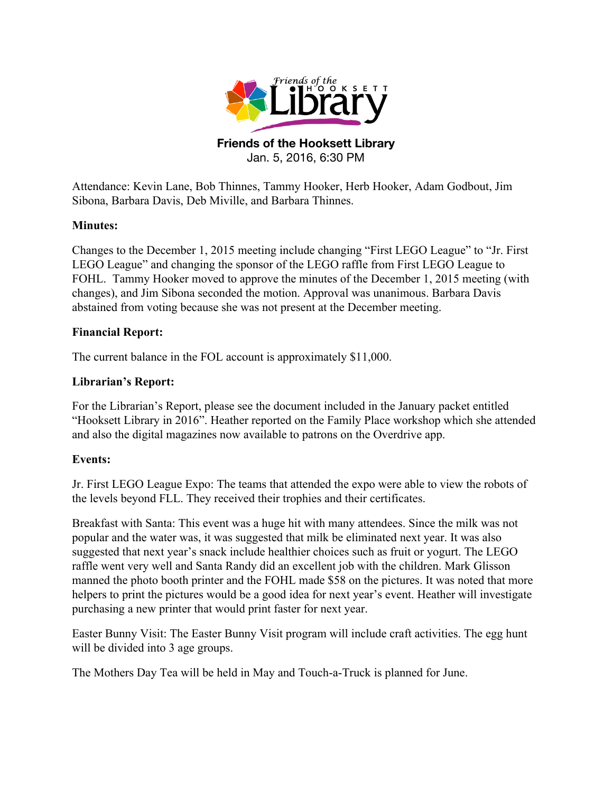

#### **Friends of the Hooksett Library** Jan. 5, 2016, 6:30 PM

Attendance: Kevin Lane, Bob Thinnes, Tammy Hooker, Herb Hooker, Adam Godbout, Jim Sibona, Barbara Davis, Deb Miville, and Barbara Thinnes.

#### **Minutes:**

Changes to the December 1, 2015 meeting include changing "First LEGO League" to "Jr. First LEGO League" and changing the sponsor of the LEGO raffle from First LEGO League to FOHL. Tammy Hooker moved to approve the minutes of the December 1, 2015 meeting (with changes), and Jim Sibona seconded the motion. Approval was unanimous. Barbara Davis abstained from voting because she was not present at the December meeting.

#### **Financial Report:**

The current balance in the FOL account is approximately \$11,000.

# **Librarian's Report:**

For the Librarian's Report, please see the document included in the January packet entitled "Hooksett Library in 2016". Heather reported on the Family Place workshop which she attended and also the digital magazines now available to patrons on the Overdrive app.

# **Events:**

Jr. First LEGO League Expo: The teams that attended the expo were able to view the robots of the levels beyond FLL. They received their trophies and their certificates.

Breakfast with Santa: This event was a huge hit with many attendees. Since the milk was not popular and the water was, it was suggested that milk be eliminated next year. It was also suggested that next year's snack include healthier choices such as fruit or yogurt. The LEGO raffle went very well and Santa Randy did an excellent job with the children. Mark Glisson manned the photo booth printer and the FOHL made \$58 on the pictures. It was noted that more helpers to print the pictures would be a good idea for next year's event. Heather will investigate purchasing a new printer that would print faster for next year.

Easter Bunny Visit: The Easter Bunny Visit program will include craft activities. The egg hunt will be divided into 3 age groups.

The Mothers Day Tea will be held in May and Touch-a-Truck is planned for June.